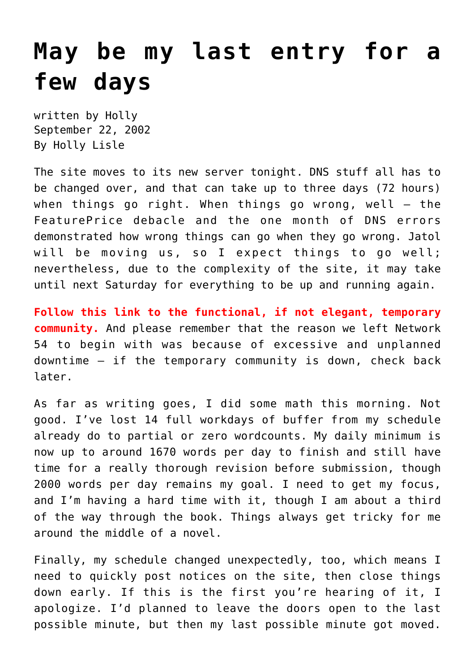## **[May be my last entry for a](https://hollylisle.com/may-be-my-last-entry-for-a-few-days/) [few days](https://hollylisle.com/may-be-my-last-entry-for-a-few-days/)**

written by Holly September 22, 2002 [By Holly Lisle](https://hollylisle.com)

The site moves to its new server tonight. DNS stuff all has to be changed over, and that can take up to three days (72 hours) when things go right. When things go wrong, well — the FeaturePrice debacle and the one month of DNS errors demonstrated how wrong things can go when they go wrong. Jatol will be moving us, so I expect things to go well; nevertheless, due to the complexity of the site, it may take until next Saturday for everything to be up and running again.

**[Follow this link to the functional, if not elegant, temporary](http://www.network54.com/Hide/Index/10379) [community.](http://www.network54.com/Hide/Index/10379)** And please remember that the reason we left Network 54 to begin with was because of excessive and unplanned downtime — if the temporary community is down, check back later.

As far as writing goes, I did some math this morning. Not good. I've lost 14 full workdays of buffer from my schedule already do to partial or zero wordcounts. My daily minimum is now up to around 1670 words per day to finish and still have time for a really thorough revision before submission, though 2000 words per day remains my goal. I need to get my focus, and I'm having a hard time with it, though I am about a third of the way through the book. Things always get tricky for me around the middle of a novel.

Finally, my schedule changed unexpectedly, too, which means I need to quickly post notices on the site, then close things down early. If this is the first you're hearing of it, I apologize. I'd planned to leave the doors open to the last possible minute, but then my last possible minute got moved.